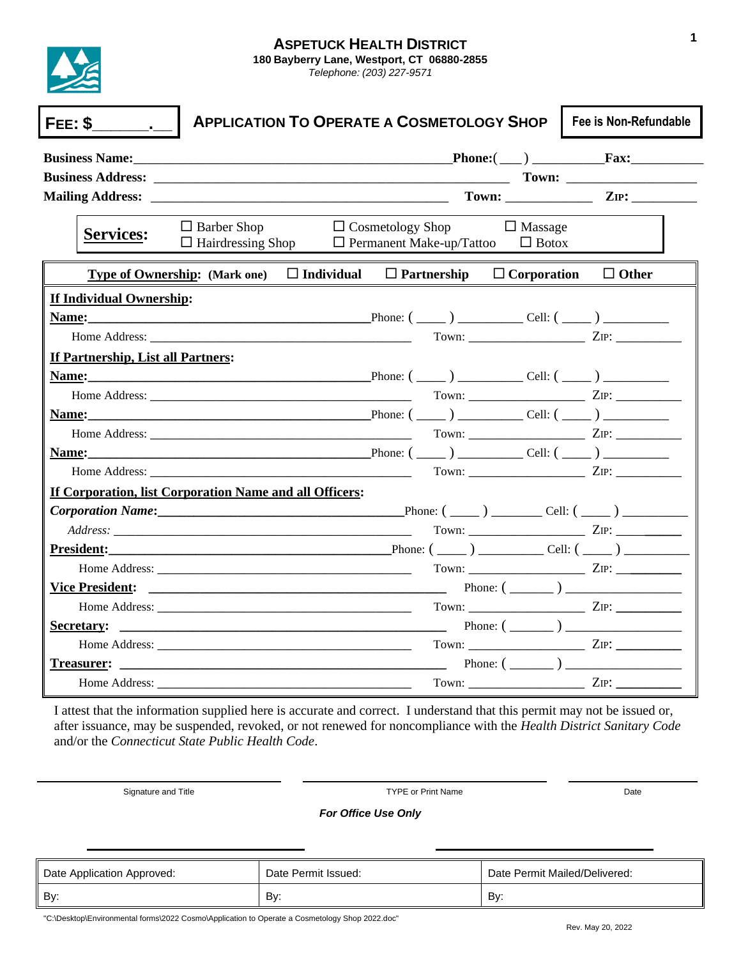

| FEE: \$                                                 |                                                                                              | <b>APPLICATION TO OPERATE A COSMETOLOGY SHOP</b> |                                                            |                                | Fee is Non-Refundable                                                                                                                                                                                                                |
|---------------------------------------------------------|----------------------------------------------------------------------------------------------|--------------------------------------------------|------------------------------------------------------------|--------------------------------|--------------------------------------------------------------------------------------------------------------------------------------------------------------------------------------------------------------------------------------|
|                                                         |                                                                                              |                                                  |                                                            |                                | $\text{Phone:}(\_\_)$ Fax:                                                                                                                                                                                                           |
|                                                         |                                                                                              |                                                  |                                                            |                                |                                                                                                                                                                                                                                      |
|                                                         |                                                                                              |                                                  |                                                            |                                |                                                                                                                                                                                                                                      |
| <b>Services:</b>                                        | $\Box$ Barber Shop<br>$\Box$ Hairdressing Shop                                               |                                                  | $\Box$ Cosmetology Shop<br>$\Box$ Permanent Make-up/Tattoo | $\Box$ Massage<br>$\Box$ Botox |                                                                                                                                                                                                                                      |
|                                                         | <b>Type of Ownership:</b> (Mark one) $\Box$ Individual $\Box$ Partnership $\Box$ Corporation |                                                  |                                                            |                                | $\Box$ Other                                                                                                                                                                                                                         |
| <b>If Individual Ownership:</b>                         |                                                                                              |                                                  |                                                            |                                |                                                                                                                                                                                                                                      |
|                                                         |                                                                                              |                                                  |                                                            |                                | <b>Name:</b> $\frac{1}{2}$ Cell: $\frac{1}{2}$ Cell: $\frac{1}{2}$ Cell: $\frac{1}{2}$ Cell: $\frac{1}{2}$ Cell: $\frac{1}{2}$                                                                                                       |
|                                                         |                                                                                              |                                                  |                                                            |                                | Home Address: ZIP: ZIP:                                                                                                                                                                                                              |
| If Partnership, List all Partners:                      |                                                                                              |                                                  |                                                            |                                |                                                                                                                                                                                                                                      |
|                                                         |                                                                                              |                                                  |                                                            |                                | <b>Name:</b> $\frac{1}{2}$ Cell: $\frac{1}{2}$ Cell: $\frac{1}{2}$ Cell: $\frac{1}{2}$ Cell: $\frac{1}{2}$ Cell: $\frac{1}{2}$ Cell: $\frac{1}{2}$                                                                                   |
|                                                         |                                                                                              |                                                  |                                                            |                                |                                                                                                                                                                                                                                      |
|                                                         |                                                                                              |                                                  |                                                            |                                |                                                                                                                                                                                                                                      |
|                                                         |                                                                                              |                                                  |                                                            |                                |                                                                                                                                                                                                                                      |
|                                                         |                                                                                              |                                                  |                                                            |                                |                                                                                                                                                                                                                                      |
|                                                         |                                                                                              |                                                  |                                                            |                                | Home Address: ZIP: ZIP:                                                                                                                                                                                                              |
| If Corporation, list Corporation Name and all Officers: |                                                                                              |                                                  |                                                            |                                |                                                                                                                                                                                                                                      |
|                                                         |                                                                                              |                                                  |                                                            |                                | $Corporation Name:$ $\qquad \qquad$ Phone: $\qquad \qquad$ Phone: $\qquad \qquad$ Cell: $\qquad \qquad$                                                                                                                              |
|                                                         |                                                                                              |                                                  |                                                            |                                | Address: <u>2</u> DP: 2008. 2008. 2009. 2009. 2009. 2009. 2009. 2009. 2009. 2009. 2009. 2009. 2009. 2009. 2009. 2009. 2009. 2009. 2009. 2009. 2009. 2009. 2009. 2009. 2009. 2009. 2009. 2009. 2009. 2009. 2009. 2009. 2009. 2009. 20 |
| <b>President:</b>                                       |                                                                                              |                                                  |                                                            |                                | $Phone: (\_\_) \_\_$ Cell: ( $\_\_)$ )                                                                                                                                                                                               |
|                                                         |                                                                                              |                                                  |                                                            |                                | $Town:$ $ZIP:$                                                                                                                                                                                                                       |
|                                                         |                                                                                              |                                                  |                                                            |                                |                                                                                                                                                                                                                                      |
|                                                         |                                                                                              |                                                  |                                                            |                                |                                                                                                                                                                                                                                      |
| Secretary:                                              |                                                                                              |                                                  |                                                            |                                |                                                                                                                                                                                                                                      |
|                                                         |                                                                                              |                                                  |                                                            |                                |                                                                                                                                                                                                                                      |
|                                                         |                                                                                              |                                                  |                                                            |                                | Phone: $(\_\_)$                                                                                                                                                                                                                      |
| Home Address:                                           |                                                                                              |                                                  |                                                            |                                |                                                                                                                                                                                                                                      |

I attest that the information supplied here is accurate and correct. I understand that this permit may not be issued or, after issuance, may be suspended, revoked, or not renewed for noncompliance with the *Health District Sanitary Code* and/or the *Connecticut State Public Health Code*.

Signature and Title **TYPE or Print Name Date Date Date Date Date** 

*For Office Use Only*

| Date Application Approved: | Date Permit Issued: | Date Permit Mailed/Delivered: |
|----------------------------|---------------------|-------------------------------|
| By:                        | Bv:                 | Bv:                           |

"C:\Desktop\Environmental forms\2022 Cosmo\Application to Operate a Cosmetology Shop 2022.doc"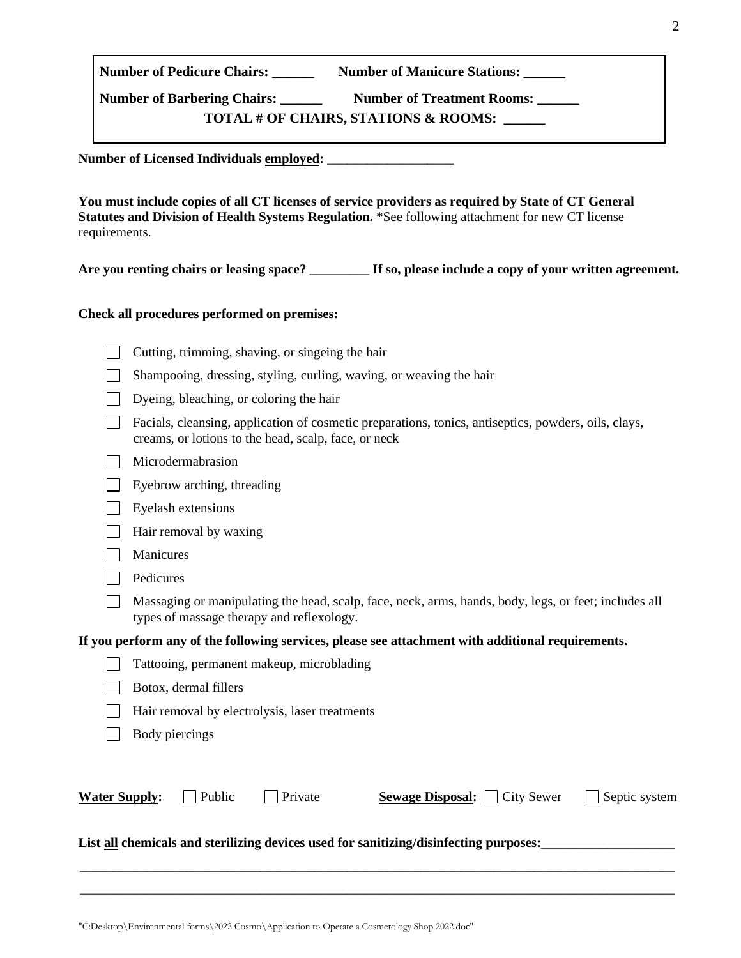"C:Desktop\Environmental forms\2022 Cosmo\Application to Operate a Cosmetology Shop 2022.doc"

| <b>Number of Pedicure Chairs:</b>  | <b>Number of Manicure Stations:</b>             |
|------------------------------------|-------------------------------------------------|
| <b>Number of Barbering Chairs:</b> | <b>Number of Treatment Rooms:</b>               |
|                                    | <b>TOTAL # OF CHAIRS, STATIONS &amp; ROOMS:</b> |

**Number of Licensed Individuals employed:** \_\_\_\_\_\_\_\_\_\_\_\_\_\_\_\_\_\_\_

**You must include copies of all CT licenses of service providers as required by State of CT General Statutes and Division of Health Systems Regulation.** \*See following attachment for new CT license requirements.

**Are you renting chairs or leasing space? \_\_\_\_\_\_\_\_\_ If so, please include a copy of your written agreement.**

**Check all procedures performed on premises:**

 $\Box$  Cutting, trimming, shaving, or singeing the hair

|                      | Shampooing, dressing, styling, curling, waving, or weaving the hair                                                                                          |
|----------------------|--------------------------------------------------------------------------------------------------------------------------------------------------------------|
|                      | Dyeing, bleaching, or coloring the hair                                                                                                                      |
|                      | Facials, cleansing, application of cosmetic preparations, tonics, antiseptics, powders, oils, clays,<br>creams, or lotions to the head, scalp, face, or neck |
|                      | Microdermabrasion                                                                                                                                            |
|                      | Eyebrow arching, threading                                                                                                                                   |
|                      | Eyelash extensions                                                                                                                                           |
|                      | Hair removal by waxing                                                                                                                                       |
|                      | Manicures                                                                                                                                                    |
|                      | Pedicures                                                                                                                                                    |
|                      | Massaging or manipulating the head, scalp, face, neck, arms, hands, body, legs, or feet; includes all<br>types of massage therapy and reflexology.           |
|                      | If you perform any of the following services, please see attachment with additional requirements.                                                            |
|                      | Tattooing, permanent makeup, microblading                                                                                                                    |
|                      | Botox, dermal fillers                                                                                                                                        |
|                      | Hair removal by electrolysis, laser treatments                                                                                                               |
|                      | Body piercings                                                                                                                                               |
|                      |                                                                                                                                                              |
| <b>Water Supply:</b> | Public<br>Private<br><b>Sewage Disposal:</b> City Sewer<br>Septic system                                                                                     |
|                      | List all chemicals and sterilizing devices used for sanitizing/disinfecting purposes:                                                                        |

\_\_\_\_\_\_\_\_\_\_\_\_\_\_\_\_\_\_\_\_\_\_\_\_\_\_\_\_\_\_\_\_\_\_\_\_\_\_\_\_\_\_\_\_\_\_\_\_\_\_\_\_\_\_\_\_\_\_\_\_\_\_\_\_\_\_\_\_\_\_\_\_\_\_\_\_\_\_\_\_\_\_\_\_\_\_\_\_\_